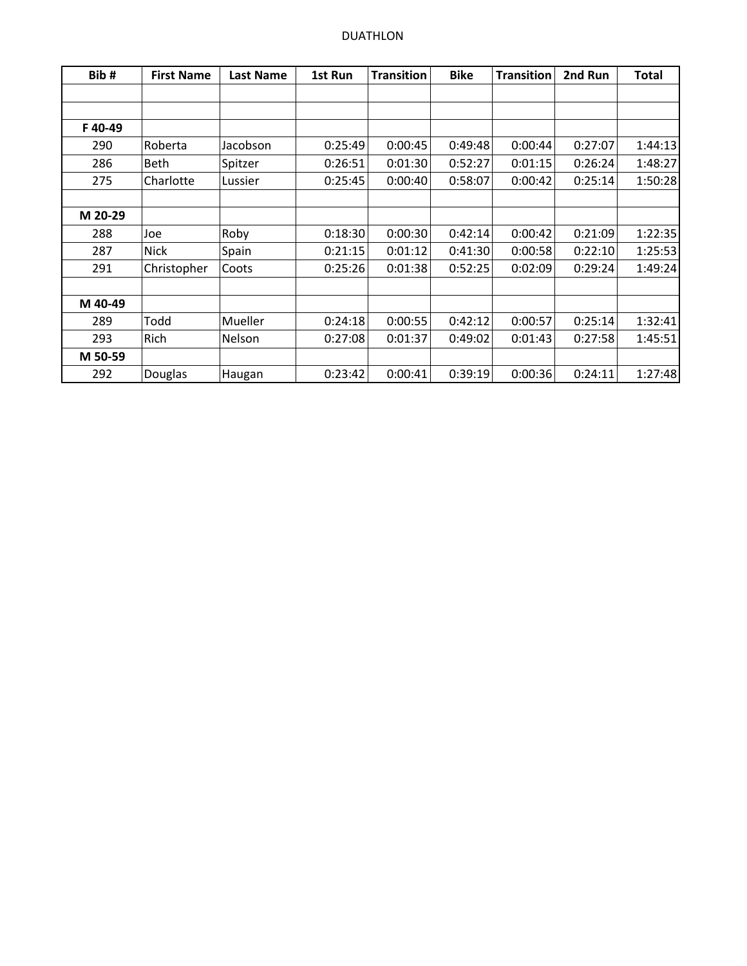| Bib#    | <b>First Name</b> | <b>Last Name</b> | 1st Run | <b>Transition</b> | <b>Bike</b> | <b>Transition</b> | 2nd Run | Total   |
|---------|-------------------|------------------|---------|-------------------|-------------|-------------------|---------|---------|
|         |                   |                  |         |                   |             |                   |         |         |
| F40-49  |                   |                  |         |                   |             |                   |         |         |
| 290     | Roberta           | Jacobson         | 0:25:49 | 0:00:45           | 0:49:48     | 0:00:44           | 0:27:07 | 1:44:13 |
| 286     | Beth              | Spitzer          | 0:26:51 | 0:01:30           | 0:52:27     | 0:01:15           | 0:26:24 | 1:48:27 |
| 275     | Charlotte         | Lussier          | 0:25:45 | 0:00:40           | 0:58:07     | 0:00:42           | 0:25:14 | 1:50:28 |
| M 20-29 |                   |                  |         |                   |             |                   |         |         |
| 288     | Joe               | Roby             | 0:18:30 | 0:00:30           | 0:42:14     | 0:00:42           | 0:21:09 | 1:22:35 |
| 287     | <b>Nick</b>       | Spain            | 0:21:15 | 0:01:12           | 0:41:30     | 0:00:58           | 0:22:10 | 1:25:53 |
| 291     | Christopher       | Coots            | 0:25:26 | 0:01:38           | 0:52:25     | 0:02:09           | 0:29:24 | 1:49:24 |
| M 40-49 |                   |                  |         |                   |             |                   |         |         |
| 289     | Todd              | Mueller          | 0:24:18 | 0:00:55           | 0:42:12     | 0:00:57           | 0:25:14 | 1:32:41 |
| 293     | Rich              | Nelson           | 0:27:08 | 0:01:37           | 0:49:02     | 0:01:43           | 0:27:58 | 1:45:51 |
| M 50-59 |                   |                  |         |                   |             |                   |         |         |
| 292     | <b>Douglas</b>    | Haugan           | 0:23:42 | 0:00:41           | 0:39:19     | 0:00:36           | 0:24:11 | 1:27:48 |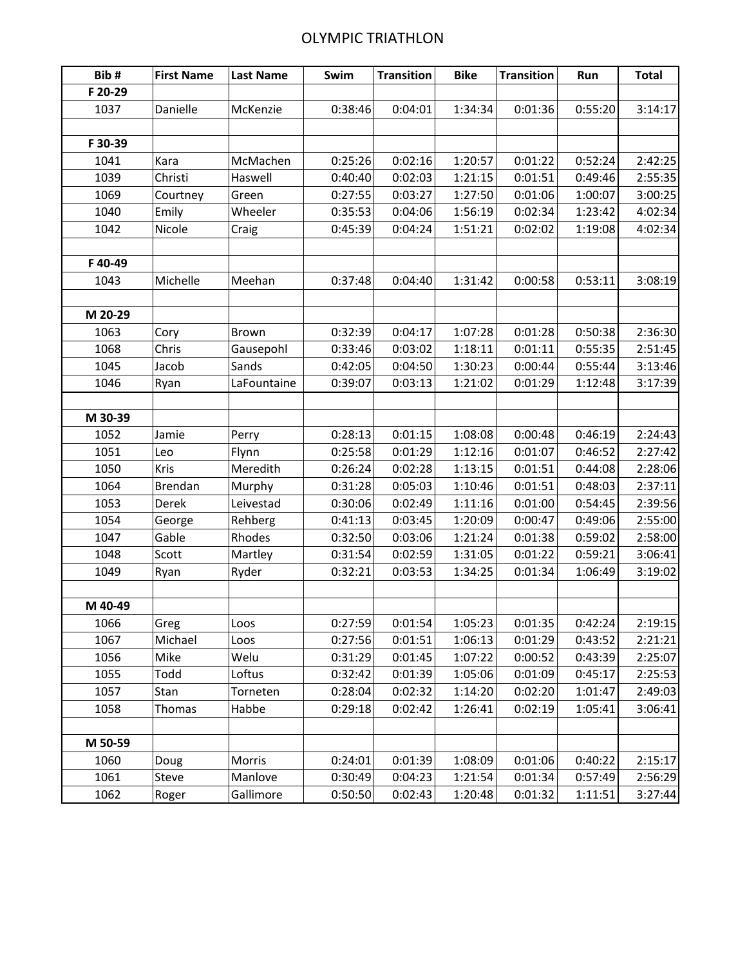## OLYMPIC TRIATHLON

| Bib#    | <b>First Name</b> | <b>Last Name</b> | Swim    | <b>Transition</b> | <b>Bike</b> | <b>Transition</b> | Run     | <b>Total</b> |
|---------|-------------------|------------------|---------|-------------------|-------------|-------------------|---------|--------------|
| F 20-29 |                   |                  |         |                   |             |                   |         |              |
| 1037    | Danielle          | McKenzie         | 0:38:46 | 0:04:01           | 1:34:34     | 0:01:36           | 0:55:20 | 3:14:17      |
|         |                   |                  |         |                   |             |                   |         |              |
| F 30-39 |                   |                  |         |                   |             |                   |         |              |
| 1041    | Kara              | McMachen         | 0:25:26 | 0:02:16           | 1:20:57     | 0:01:22           | 0:52:24 | 2:42:25      |
| 1039    | Christi           | Haswell          | 0:40:40 | 0:02:03           | 1:21:15     | 0:01:51           | 0:49:46 | 2:55:35      |
| 1069    | Courtney          | Green            | 0:27:55 | 0:03:27           | 1:27:50     | 0:01:06           | 1:00:07 | 3:00:25      |
| 1040    | Emily             | Wheeler          | 0:35:53 | 0:04:06           | 1:56:19     | 0:02:34           | 1:23:42 | 4:02:34      |
| 1042    | Nicole            | Craig            | 0:45:39 | 0:04:24           | 1:51:21     | 0:02:02           | 1:19:08 | 4:02:34      |
|         |                   |                  |         |                   |             |                   |         |              |
| F40-49  |                   |                  |         |                   |             |                   |         |              |
| 1043    | Michelle          | Meehan           | 0:37:48 | 0:04:40           | 1:31:42     | 0:00:58           | 0:53:11 | 3:08:19      |
|         |                   |                  |         |                   |             |                   |         |              |
| M 20-29 |                   |                  |         |                   |             |                   |         |              |
| 1063    | Cory              | Brown            | 0:32:39 | 0:04:17           | 1:07:28     | 0:01:28           | 0:50:38 | 2:36:30      |
| 1068    | Chris             | Gausepohl        | 0:33:46 | 0:03:02           | 1:18:11     | 0:01:11           | 0:55:35 | 2:51:45      |
| 1045    | Jacob             | Sands            | 0:42:05 | 0:04:50           | 1:30:23     | 0:00:44           | 0:55:44 | 3:13:46      |
| 1046    | Ryan              | LaFountaine      | 0:39:07 | 0:03:13           | 1:21:02     | 0:01:29           | 1:12:48 | 3:17:39      |
|         |                   |                  |         |                   |             |                   |         |              |
| M 30-39 |                   |                  |         |                   |             |                   |         |              |
| 1052    | Jamie             | Perry            | 0:28:13 | 0:01:15           | 1:08:08     | 0:00:48           | 0:46:19 | 2:24:43      |
| 1051    | Leo               | Flynn            | 0:25:58 | 0:01:29           | 1:12:16     | 0:01:07           | 0:46:52 | 2:27:42      |
| 1050    | Kris              | Meredith         | 0:26:24 | 0:02:28           | 1:13:15     | 0:01:51           | 0:44:08 | 2:28:06      |
| 1064    | Brendan           | Murphy           | 0:31:28 | 0:05:03           | 1:10:46     | 0:01:51           | 0:48:03 | 2:37:11      |
| 1053    | Derek             | Leivestad        | 0:30:06 | 0:02:49           | 1:11:16     | 0:01:00           | 0:54:45 | 2:39:56      |
| 1054    | George            | Rehberg          | 0:41:13 | 0:03:45           | 1:20:09     | 0:00:47           | 0:49:06 | 2:55:00      |
| 1047    | Gable             | Rhodes           | 0:32:50 | 0:03:06           | 1:21:24     | 0:01:38           | 0:59:02 | 2:58:00      |
| 1048    | Scott             | Martley          | 0:31:54 | 0:02:59           | 1:31:05     | 0:01:22           | 0:59:21 | 3:06:41      |
| 1049    | Ryan              | Ryder            | 0:32:21 | 0:03:53           | 1:34:25     | 0:01:34           | 1:06:49 | 3:19:02      |
|         |                   |                  |         |                   |             |                   |         |              |
| M 40-49 |                   |                  |         |                   |             |                   |         |              |
| 1066    | Greg              | Loos             | 0:27:59 | 0:01:54           | 1:05:23     | 0:01:35           | 0:42:24 | 2:19:15      |
| 1067    | Michael           | Loos             | 0:27:56 | 0:01:51           | 1:06:13     | 0:01:29           | 0:43:52 | 2:21:21      |
| 1056    | Mike              | Welu             | 0:31:29 | 0:01:45           | 1:07:22     | 0:00:52           | 0:43:39 | 2:25:07      |
| 1055    | Todd              | Loftus           | 0:32:42 | 0:01:39           | 1:05:06     | 0:01:09           | 0:45:17 | 2:25:53      |
| 1057    | Stan              | Torneten         | 0:28:04 | 0:02:32           | 1:14:20     | 0:02:20           | 1:01:47 | 2:49:03      |
| 1058    | Thomas            | Habbe            | 0:29:18 | 0:02:42           | 1:26:41     | 0:02:19           | 1:05:41 | 3:06:41      |
|         |                   |                  |         |                   |             |                   |         |              |
| M 50-59 |                   |                  |         |                   |             |                   |         |              |
| 1060    | Doug              | Morris           | 0:24:01 | 0:01:39           | 1:08:09     | 0:01:06           | 0:40:22 | 2:15:17      |
| 1061    | Steve             | Manlove          | 0:30:49 | 0:04:23           | 1:21:54     | 0:01:34           | 0:57:49 | 2:56:29      |
| 1062    | Roger             | Gallimore        | 0:50:50 | 0:02:43           | 1:20:48     | 0:01:32           | 1:11:51 | 3:27:44      |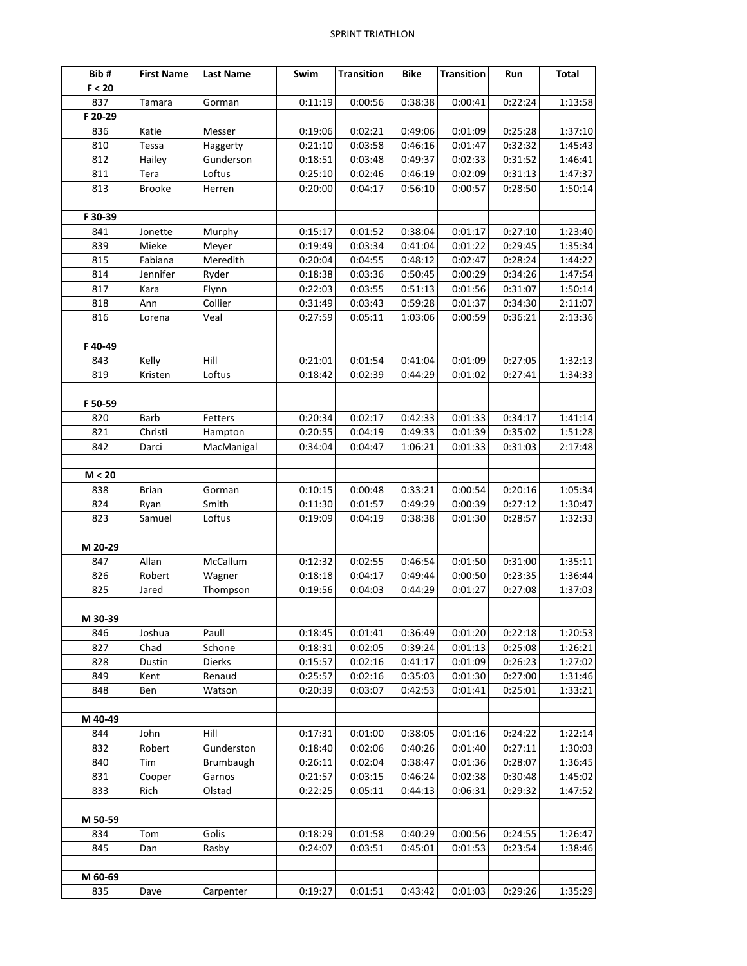| Bib#    | <b>First Name</b> | <b>Last Name</b> | Swim    | <b>Transition</b> | <b>Bike</b> | <b>Transition</b> | Run     | <b>Total</b> |
|---------|-------------------|------------------|---------|-------------------|-------------|-------------------|---------|--------------|
| F < 20  |                   |                  |         |                   |             |                   |         |              |
| 837     | Tamara            | Gorman           | 0:11:19 | 0:00:56           | 0:38:38     | 0:00:41           | 0:22:24 | 1:13:58      |
| F 20-29 |                   |                  |         |                   |             |                   |         |              |
| 836     | Katie             | Messer           | 0:19:06 | 0:02:21           | 0:49:06     | 0:01:09           | 0:25:28 | 1:37:10      |
| 810     | Tessa             | Haggerty         | 0:21:10 | 0:03:58           | 0:46:16     | 0:01:47           | 0:32:32 | 1:45:43      |
| 812     | Hailey            | Gunderson        | 0:18:51 | 0:03:48           | 0:49:37     | 0:02:33           | 0:31:52 | 1:46:41      |
| 811     | Tera              | Loftus           | 0:25:10 | 0:02:46           | 0:46:19     | 0:02:09           | 0:31:13 | 1:47:37      |
| 813     | <b>Brooke</b>     | Herren           | 0:20:00 | 0:04:17           | 0:56:10     | 0:00:57           | 0:28:50 | 1:50:14      |
|         |                   |                  |         |                   |             |                   |         |              |
| F 30-39 |                   |                  |         |                   |             |                   |         |              |
| 841     | Jonette           | Murphy           | 0:15:17 | 0:01:52           | 0:38:04     | 0:01:17           | 0:27:10 | 1:23:40      |
| 839     | Mieke             | Meyer            | 0:19:49 | 0:03:34           | 0:41:04     | 0:01:22           | 0:29:45 | 1:35:34      |
| 815     | Fabiana           | Meredith         | 0:20:04 | 0:04:55           | 0:48:12     | 0:02:47           | 0:28:24 | 1:44:22      |
| 814     | Jennifer          | Ryder            | 0:18:38 | 0:03:36           | 0:50:45     | 0:00:29           | 0:34:26 | 1:47:54      |
| 817     | Kara              | Flynn            | 0:22:03 | 0:03:55           | 0:51:13     | 0:01:56           | 0:31:07 | 1:50:14      |
| 818     | Ann               | Collier          | 0:31:49 | 0:03:43           | 0:59:28     | 0:01:37           | 0:34:30 | 2:11:07      |
| 816     | Lorena            | Veal             | 0:27:59 | 0:05:11           | 1:03:06     | 0:00:59           | 0:36:21 | 2:13:36      |
|         |                   |                  |         |                   |             |                   |         |              |
| F40-49  |                   |                  |         |                   |             |                   |         |              |
| 843     | Kelly             | Hill             | 0:21:01 | 0:01:54           | 0:41:04     | 0:01:09           | 0:27:05 | 1:32:13      |
| 819     | Kristen           | Loftus           | 0:18:42 | 0:02:39           | 0:44:29     | 0:01:02           | 0:27:41 | 1:34:33      |
|         |                   |                  |         |                   |             |                   |         |              |
| F 50-59 |                   |                  |         |                   |             |                   |         |              |
| 820     | Barb              | Fetters          | 0:20:34 | 0:02:17           | 0:42:33     | 0:01:33           | 0:34:17 | 1:41:14      |
| 821     | Christi           | Hampton          | 0:20:55 | 0:04:19           | 0:49:33     | 0:01:39           | 0:35:02 | 1:51:28      |
| 842     | Darci             | MacManigal       | 0:34:04 | 0:04:47           | 1:06:21     | 0:01:33           | 0:31:03 | 2:17:48      |
|         |                   |                  |         |                   |             |                   |         |              |
| M < 20  |                   |                  |         |                   |             |                   |         |              |
| 838     | <b>Brian</b>      | Gorman           | 0:10:15 | 0:00:48           | 0:33:21     | 0:00:54           | 0:20:16 | 1:05:34      |
| 824     | Ryan              | Smith            | 0:11:30 | 0:01:57           | 0:49:29     | 0:00:39           | 0:27:12 | 1:30:47      |
| 823     | Samuel            | Loftus           | 0:19:09 | 0:04:19           | 0:38:38     | 0:01:30           | 0:28:57 | 1:32:33      |
|         |                   |                  |         |                   |             |                   |         |              |
| M 20-29 |                   |                  |         |                   |             |                   |         |              |
| 847     | Allan             | McCallum         | 0:12:32 | 0:02:55           | 0:46:54     | 0:01:50           | 0:31:00 | 1:35:11      |
| 826     | Robert            | Wagner           | 0:18:18 | 0:04:17           | 0:49:44     | 0:00:50           | 0:23:35 | 1:36:44      |
| 825     | Jared             | Thompson         | 0:19:56 | 0:04:03           | 0:44:29     | 0:01:27           | 0:27:08 | 1:37:03      |
|         |                   |                  |         |                   |             |                   |         |              |
| M 30-39 |                   |                  |         |                   |             |                   |         |              |
| 846     | Joshua            | Paull            | 0:18:45 | 0:01:41           | 0:36:49     | 0:01:20           | 0:22:18 | 1:20:53      |
| 827     | Chad              | Schone           | 0:18:31 | 0:02:05           | 0:39:24     | 0:01:13           | 0:25:08 | 1:26:21      |
| 828     | Dustin            | Dierks           | 0:15:57 | 0:02:16           | 0:41:17     | 0:01:09           | 0:26:23 | 1:27:02      |
| 849     | Kent              | Renaud           | 0:25:57 | 0:02:16           | 0:35:03     | 0:01:30           | 0:27:00 | 1:31:46      |
| 848     | Ben               | Watson           | 0:20:39 | 0:03:07           | 0:42:53     | 0:01:41           | 0:25:01 | 1:33:21      |
|         |                   |                  |         |                   |             |                   |         |              |
| M 40-49 |                   |                  |         |                   |             |                   |         |              |
| 844     | John              | Hill             | 0:17:31 | 0:01:00           | 0:38:05     | 0:01:16           | 0:24:22 | 1:22:14      |
| 832     | Robert            | Gunderston       | 0:18:40 | 0:02:06           | 0:40:26     | 0:01:40           | 0:27:11 | 1:30:03      |
| 840     | Tim               | <b>Brumbaugh</b> | 0:26:11 | 0:02:04           | 0:38:47     | 0:01:36           | 0:28:07 | 1:36:45      |
| 831     | Cooper            | Garnos           | 0:21:57 | 0:03:15           | 0:46:24     | 0:02:38           | 0:30:48 | 1:45:02      |
| 833     | Rich              | Olstad           | 0:22:25 | 0:05:11           | 0:44:13     | 0:06:31           | 0:29:32 | 1:47:52      |
|         |                   |                  |         |                   |             |                   |         |              |
| M 50-59 |                   |                  |         |                   |             |                   |         |              |
| 834     | Tom               | Golis            | 0:18:29 | 0:01:58           | 0:40:29     | 0:00:56           | 0:24:55 | 1:26:47      |
| 845     | Dan               | Rasby            | 0:24:07 | 0:03:51           | 0:45:01     | 0:01:53           | 0:23:54 | 1:38:46      |
|         |                   |                  |         |                   |             |                   |         |              |
| M 60-69 |                   |                  |         |                   |             |                   |         |              |
| 835     | Dave              | Carpenter        | 0:19:27 | 0:01:51           | 0:43:42     | 0:01:03           | 0:29:26 | 1:35:29      |
|         |                   |                  |         |                   |             |                   |         |              |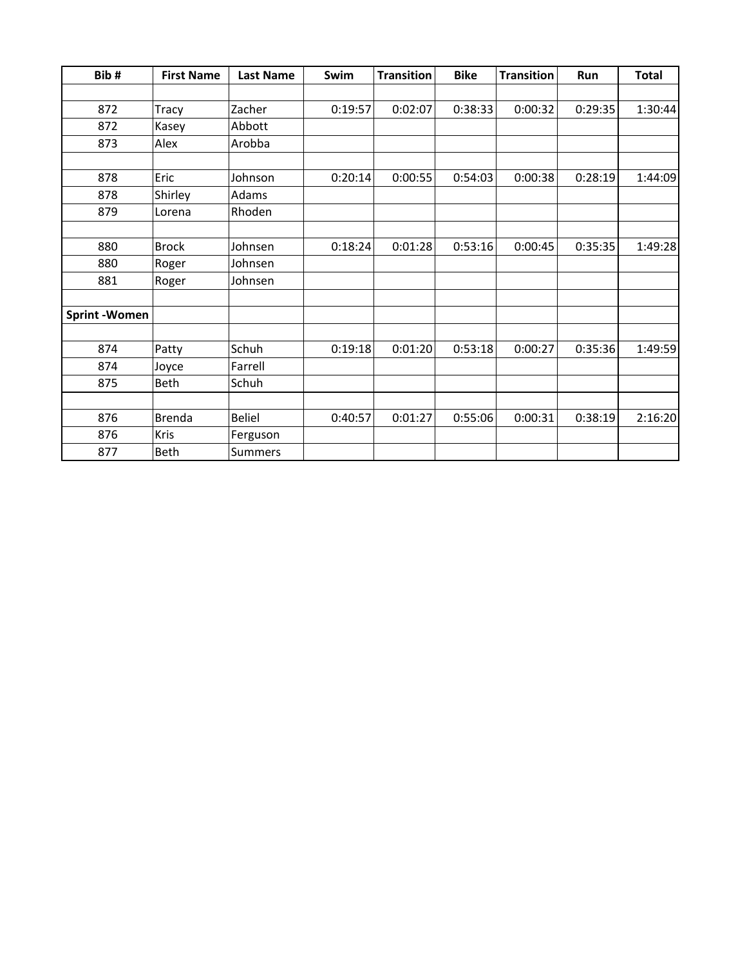| Bib#                | <b>First Name</b> | <b>Last Name</b> | Swim    | <b>Transition</b> | <b>Bike</b> | <b>Transition</b> | Run     | <b>Total</b> |
|---------------------|-------------------|------------------|---------|-------------------|-------------|-------------------|---------|--------------|
|                     |                   |                  |         |                   |             |                   |         |              |
| 872                 | Tracy             | Zacher           | 0:19:57 | 0:02:07           | 0:38:33     | 0:00:32           | 0:29:35 | 1:30:44      |
| 872                 | Kasey             | Abbott           |         |                   |             |                   |         |              |
| 873                 | Alex              | Arobba           |         |                   |             |                   |         |              |
|                     |                   |                  |         |                   |             |                   |         |              |
| 878                 | Eric              | Johnson          | 0:20:14 | 0:00:55           | 0:54:03     | 0:00:38           | 0:28:19 | 1:44:09      |
| 878                 | Shirley           | Adams            |         |                   |             |                   |         |              |
| 879                 | Lorena            | Rhoden           |         |                   |             |                   |         |              |
|                     |                   |                  |         |                   |             |                   |         |              |
| 880                 | <b>Brock</b>      | Johnsen          | 0:18:24 | 0:01:28           | 0:53:16     | 0:00:45           | 0:35:35 | 1:49:28      |
| 880                 | Roger             | Johnsen          |         |                   |             |                   |         |              |
| 881                 | Roger             | Johnsen          |         |                   |             |                   |         |              |
| <b>Sprint-Women</b> |                   |                  |         |                   |             |                   |         |              |
| 874                 | Patty             | Schuh            | 0:19:18 | 0:01:20           | 0:53:18     | 0:00:27           | 0:35:36 | 1:49:59      |
| 874                 | Joyce             | Farrell          |         |                   |             |                   |         |              |
| 875                 | Beth              | Schuh            |         |                   |             |                   |         |              |
| 876                 | <b>Brenda</b>     | <b>Beliel</b>    | 0:40:57 | 0:01:27           | 0:55:06     | 0:00:31           | 0:38:19 | 2:16:20      |
| 876                 | Kris              | Ferguson         |         |                   |             |                   |         |              |
| 877                 | Beth              | <b>Summers</b>   |         |                   |             |                   |         |              |